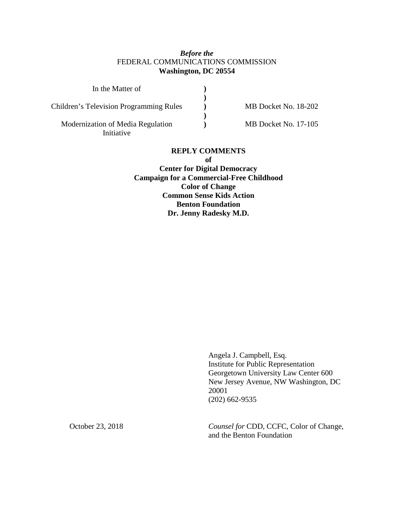## *Before the* FEDERAL COMMUNICATIONS COMMISSION **Washington, DC 20554**

| In the Matter of                               |  |
|------------------------------------------------|--|
|                                                |  |
| <b>Children's Television Programming Rules</b> |  |
|                                                |  |
| Modernization of Media Regulation              |  |
| Initiative                                     |  |

MB Docket No. 18-202

MB Docket No. 17-105

### **REPLY COMMENTS**

**of**

**Center for Digital Democracy Campaign for a Commercial-Free Childhood Color of Change Common Sense Kids Action Benton Foundation Dr. Jenny Radesky M.D.**

> Angela J. Campbell, Esq. Institute for Public Representation Georgetown University Law Center 600 New Jersey Avenue, NW Washington, DC 20001 (202) 662-9535

October 23, 2018 *Counsel for* CDD, CCFC, Color of Change, and the Benton Foundation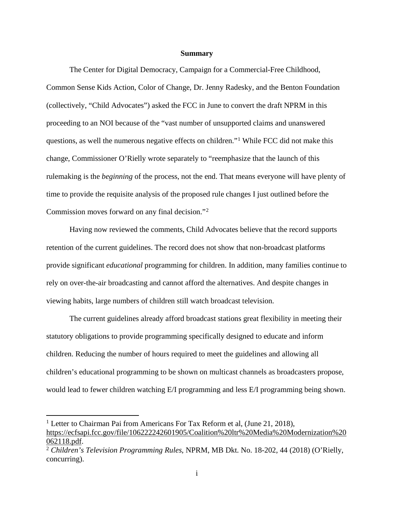#### **Summary**

<span id="page-1-2"></span>The Center for Digital Democracy, Campaign for a Commercial-Free Childhood, Common Sense Kids Action, Color of Change, Dr. Jenny Radesky, and the Benton Foundation (collectively, "Child Advocates") asked the FCC in June to convert the draft NPRM in this proceeding to an NOI because of the "vast number of unsupported claims and unanswered questions, as well the numerous negative effects on children."[1](#page-1-0) While FCC did not make this change, Commissioner O'Rielly wrote separately to "reemphasize that the launch of this rulemaking is the *beginning* of the process, not the end. That means everyone will have plenty of time to provide the requisite analysis of the proposed rule changes I just outlined before the Commission moves forward on any final decision."[2](#page-1-1)

Having now reviewed the comments, Child Advocates believe that the record supports retention of the current guidelines. The record does not show that non-broadcast platforms provide significant *educational* programming for children. In addition, many families continue to rely on over-the-air broadcasting and cannot afford the alternatives. And despite changes in viewing habits, large numbers of children still watch broadcast television.

The current guidelines already afford broadcast stations great flexibility in meeting their statutory obligations to provide programming specifically designed to educate and inform children. Reducing the number of hours required to meet the guidelines and allowing all children's educational programming to be shown on multicast channels as broadcasters propose, would lead to fewer children watching E/I programming and less E/I programming being shown.

<span id="page-1-0"></span><sup>&</sup>lt;sup>1</sup> Letter to Chairman Pai from Americans For Tax Reform et al, (June 21, 2018), [https://ecfsapi.fcc.gov/file/106222242601905/Coalition%20ltr%20Media%20Modernization%20](https://ecfsapi.fcc.gov/file/106222242601905/Coalition%20ltr%20Media%20Modernization%20062118.pdf) [062118.pdf.](https://ecfsapi.fcc.gov/file/106222242601905/Coalition%20ltr%20Media%20Modernization%20062118.pdf) 2 *Children's Television Programming Rules*, NPRM, MB Dkt. No. 18-202, 44 (2018) (O'Rielly,

<span id="page-1-1"></span>concurring).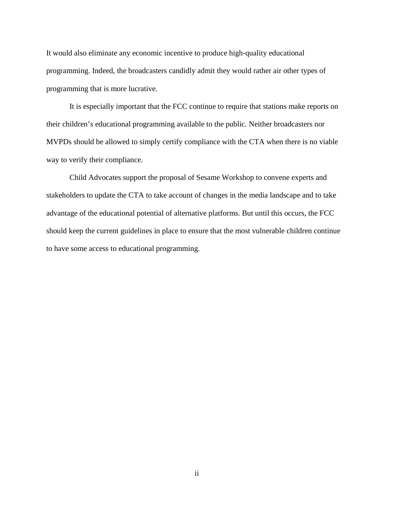It would also eliminate any economic incentive to produce high-quality educational programming. Indeed, the broadcasters candidly admit they would rather air other types of programming that is more lucrative.

It is especially important that the FCC continue to require that stations make reports on their children's educational programming available to the public. Neither broadcasters nor MVPDs should be allowed to simply certify compliance with the CTA when there is no viable way to verify their compliance.

Child Advocates support the proposal of Sesame Workshop to convene experts and stakeholders to update the CTA to take account of changes in the media landscape and to take advantage of the educational potential of alternative platforms. But until this occurs, the FCC should keep the current guidelines in place to ensure that the most vulnerable children continue to have some access to educational programming.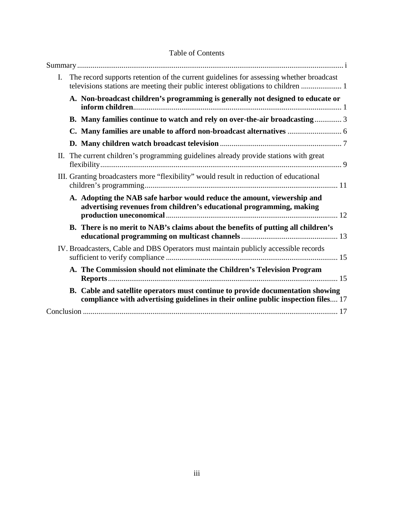| $I_{\cdot}$ | The record supports retention of the current guidelines for assessing whether broadcast<br>televisions stations are meeting their public interest obligations to children |
|-------------|---------------------------------------------------------------------------------------------------------------------------------------------------------------------------|
|             | A. Non-broadcast children's programming is generally not designed to educate or                                                                                           |
|             | B. Many families continue to watch and rely on over-the-air broadcasting 3                                                                                                |
|             |                                                                                                                                                                           |
|             |                                                                                                                                                                           |
|             | II. The current children's programming guidelines already provide stations with great                                                                                     |
|             | III. Granting broadcasters more "flexibility" would result in reduction of educational                                                                                    |
|             | A. Adopting the NAB safe harbor would reduce the amount, viewership and<br>advertising revenues from children's educational programming, making                           |
|             | B. There is no merit to NAB's claims about the benefits of putting all children's                                                                                         |
|             | IV. Broadcasters, Cable and DBS Operators must maintain publicly accessible records                                                                                       |
|             | A. The Commission should not eliminate the Children's Television Program                                                                                                  |
|             | B. Cable and satellite operators must continue to provide documentation showing<br>compliance with advertising guidelines in their online public inspection files 17      |
|             |                                                                                                                                                                           |

# Table of Contents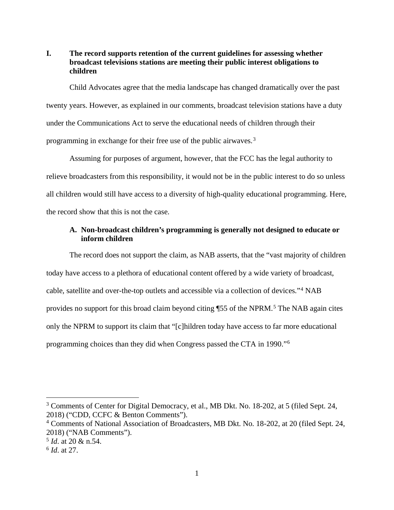## <span id="page-4-0"></span>**I. The record supports retention of the current guidelines for assessing whether broadcast televisions stations are meeting their public interest obligations to children**

Child Advocates agree that the media landscape has changed dramatically over the past twenty years. However, as explained in our comments, broadcast television stations have a duty under the Communications Act to serve the educational needs of children through their programming in exchange for their free use of the public airwaves.[3](#page-4-2)

Assuming for purposes of argument, however, that the FCC has the legal authority to relieve broadcasters from this responsibility, it would not be in the public interest to do so unless all children would still have access to a diversity of high-quality educational programming. Here, the record show that this is not the case.

## <span id="page-4-1"></span>**A. Non-broadcast children's programming is generally not designed to educate or inform children**

The record does not support the claim, as NAB asserts, that the "vast majority of children today have access to a plethora of educational content offered by a wide variety of broadcast, cable, satellite and over-the-top outlets and accessible via a collection of devices."[4](#page-4-3) NAB provides no support for this broad claim beyond citing ¶[5](#page-4-4)5 of the NPRM.<sup>5</sup> The NAB again cites only the NPRM to support its claim that "[c]hildren today have access to far more educational programming choices than they did when Congress passed the CTA in 1990."[6](#page-4-5)

<span id="page-4-2"></span> <sup>3</sup> Comments of Center for Digital Democracy, et al., MB Dkt. No. 18-202, at 5 (filed Sept. 24, 2018) ("CDD, CCFC & Benton Comments").

<span id="page-4-3"></span><sup>4</sup> Comments of National Association of Broadcasters, MB Dkt. No. 18-202, at 20 (filed Sept. 24, 2018) ("NAB Comments").

<span id="page-4-4"></span><sup>5</sup> *Id*. at 20 & n.54.

<span id="page-4-5"></span><sup>6</sup> *Id*. at 27.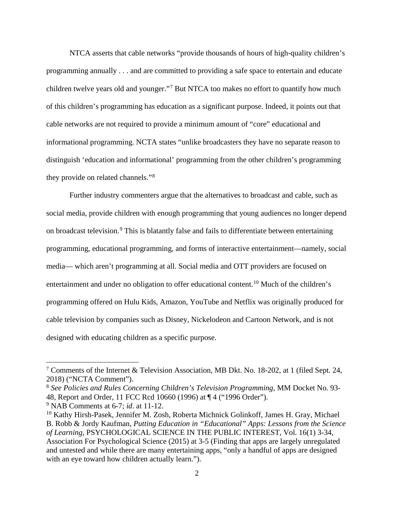NTCA asserts that cable networks "provide thousands of hours of high-quality children's programming annually . . . and are committed to providing a safe space to entertain and educate children twelve years old and younger."[7](#page-5-0) But NTCA too makes no effort to quantify how much of this children's programming has education as a significant purpose. Indeed, it points out that cable networks are not required to provide a minimum amount of "core" educational and informational programming. NCTA states "unlike broadcasters they have no separate reason to distinguish 'education and informational' programming from the other children's programming they provide on related channels."[8](#page-5-1)

Further industry commenters argue that the alternatives to broadcast and cable, such as social media, provide children with enough programming that young audiences no longer depend on broadcast television.<sup>[9](#page-5-2)</sup> This is blatantly false and fails to differentiate between entertaining programming, educational programming, and forms of interactive entertainment—namely, social media— which aren't programming at all. Social media and OTT providers are focused on entertainment and under no obligation to offer educational content.[10](#page-5-3) Much of the children's programming offered on Hulu Kids, Amazon, YouTube and Netflix was originally produced for cable television by companies such as Disney, Nickelodeon and Cartoon Network, and is not designed with educating children as a specific purpose.

<span id="page-5-0"></span> <sup>7</sup> Comments of the Internet & Television Association, MB Dkt. No. 18-202, at 1 (filed Sept. 24, 2018) ("NCTA Comment").

<span id="page-5-1"></span><sup>8</sup> *See Policies and Rules Concerning Children's Television Programming*, MM Docket No. 93- 48, Report and Order, 11 FCC Rcd 10660 (1996) at ¶ 4 ("1996 Order").

<span id="page-5-2"></span><sup>9</sup> NAB Comments at 6-7; *id*. at 11-12.

<span id="page-5-3"></span><sup>&</sup>lt;sup>10</sup> Kathy Hirsh-Pasek, Jennifer M. Zosh, Roberta Michnick Golinkoff, James H. Gray, Michael B. Robb & Jordy Kaufman, *Putting Education in "Educational" Apps: Lessons from the Science of Learning*, PSYCHOLOGICAL SCIENCE IN THE PUBLIC INTEREST, Vol. 16(1) 3-34, Association For Psychological Science (2015) at 3-5 (Finding that apps are largely unregulated and untested and while there are many entertaining apps, "only a handful of apps are designed with an eye toward how children actually learn.").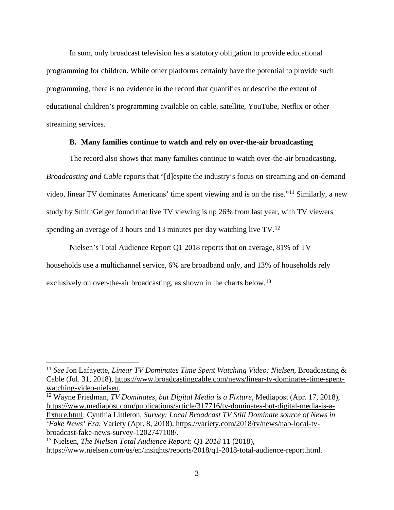In sum, only broadcast television has a statutory obligation to provide educational programming for children. While other platforms certainly have the potential to provide such programming, there is no evidence in the record that quantifies or describe the extent of educational children's programming available on cable, satellite, YouTube, Netflix or other streaming services.

### **B. Many families continue to watch and rely on over-the-air broadcasting**

<span id="page-6-0"></span>The record also shows that many families continue to watch over-the-air broadcasting. *Broadcasting and Cable* reports that "[d]espite the industry's focus on streaming and on-demand video, linear TV dominates Americans' time spent viewing and is on the rise."[11](#page-6-1) Similarly, a new study by SmithGeiger found that live TV viewing is up 26% from last year, with TV viewers spending an average of 3 hours and 13 minutes per day watching live TV.[12](#page-6-2)

Nielsen's Total Audience Report Q1 2018 reports that on average, 81% of TV households use a multichannel service, 6% are broadband only, and 13% of households rely exclusively on over-the-air broadcasting, as shown in the charts below.<sup>[13](#page-6-3)</sup>

<span id="page-6-1"></span> <sup>11</sup> *See* Jon Lafayette, *Linear TV Dominates Time Spent Watching Video: Nielsen*, Broadcasting & Cable (Jul. 31, 2018), [https://www.broadcastingcable.com/news/linear-tv-dominates-time-spent](https://www.broadcastingcable.com/news/linear-tv-dominates-time-spent-watching-video-nielsen)[watching-video-nielsen.](https://www.broadcastingcable.com/news/linear-tv-dominates-time-spent-watching-video-nielsen)<br><sup>12</sup> Wayne Friedman, *TV Dominates, but Digital Media is a Fixture*, Mediapost (Apr. 17, 2018),

<span id="page-6-2"></span>[https://www.mediapost.com/publications/article/317716/tv-dominates-but-digital-media-is-a](https://www.mediapost.com/publications/article/317716/tv-dominates-but-digital-media-is-a-fixture.html)[fixture.html;](https://www.mediapost.com/publications/article/317716/tv-dominates-but-digital-media-is-a-fixture.html) Cynthia Littleton, *Survey: Local Broadcast TV Still Dominate source of News in 'Fake News' Era*, Variety (Apr. 8, 2018), [https://variety.com/2018/tv/news/nab-local-tv](https://variety.com/2018/tv/news/nab-local-tv-broadcast-fake-news-survey-1202747108/)[broadcast-fake-news-survey-1202747108/.](https://variety.com/2018/tv/news/nab-local-tv-broadcast-fake-news-survey-1202747108/)

<span id="page-6-3"></span><sup>13</sup> Nielsen, *The Nielsen Total Audience Report: Q1 2018* 11 (2018), https://www.nielsen.com/us/en/insights/reports/2018/q1-2018-total-audience-report.html.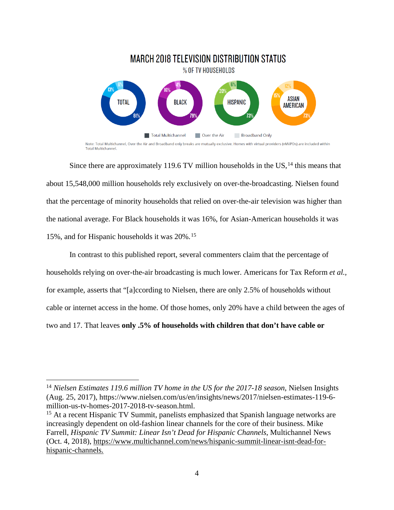

Total Multichannel

Since there are approximately 119.6 TV million households in the  $US<sub>14</sub>$  $US<sub>14</sub>$  $US<sub>14</sub>$  this means that about 15,548,000 million households rely exclusively on over-the-broadcasting. Nielsen found that the percentage of minority households that relied on over-the-air television was higher than the national average. For Black households it was 16%, for Asian-American households it was 15%, and for Hispanic households it was 20%.[15](#page-7-1)

In contrast to this published report, several commenters claim that the percentage of households relying on over-the-air broadcasting is much lower. Americans for Tax Reform *et al.,* for example, asserts that "[a]ccording to Nielsen, there are only 2.5% of households without cable or internet access in the home. Of those homes, only 20% have a child between the ages of two and 17. That leaves **only .5% of households with children that don't have cable or** 

<span id="page-7-0"></span> <sup>14</sup> *Nielsen Estimates 119.6 million TV home in the US for the 2017-18 season*, Nielsen Insights (Aug. 25, 2017), https://www.nielsen.com/us/en/insights/news/2017/nielsen-estimates-119-6 million-us-tv-homes-2017-2018-tv-season.html.

<span id="page-7-1"></span><sup>&</sup>lt;sup>15</sup> At a recent Hispanic TV Summit, panelists emphasized that Spanish language networks are increasingly dependent on old-fashion linear channels for the core of their business. Mike Farrell, *Hispanic TV Summit: Linear Isn't Dead for Hispanic Channels*, Multichannel News (Oct. 4, 2018), [https://www.multichannel.com/news/hispanic-summit-linear-isnt-dead-for](https://www.multichannel.com/news/hispanic-summit-linear-isnt-dead-for-hispanic-channels)[hispanic-channels.](https://www.multichannel.com/news/hispanic-summit-linear-isnt-dead-for-hispanic-channels)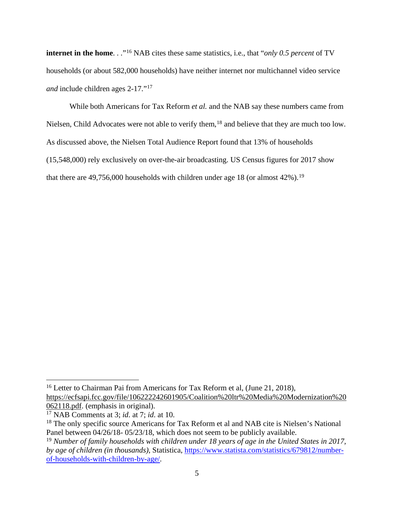**internet in the home**. . ."[16](#page-8-0) NAB cites these same statistics, i.e., that "*only 0.5 percent* of TV households (or about 582,000 households) have neither internet nor multichannel video service *and* include children ages 2-17."[17](#page-8-1)

While both Americans for Tax Reform *et al.* and the NAB say these numbers came from Nielsen, Child Advocates were not able to verify them,<sup>[18](#page-8-2)</sup> and believe that they are much too low. As discussed above, the Nielsen Total Audience Report found that 13% of households (15,548,000) rely exclusively on over-the-air broadcasting. US Census figures for 2017 show that there are  $49,756,000$  households with children under age 18 (or almost  $42\%$ ).<sup>[19](#page-8-3)</sup>

<span id="page-8-0"></span><sup>&</sup>lt;sup>16</sup> Letter to Chairman Pai from Americans for Tax Reform et al, (June 21, 2018), [https://ecfsapi.fcc.gov/file/106222242601905/Coalition%20ltr%20Media%20Modernization%20](https://ecfsapi.fcc.gov/file/106222242601905/Coalition%20ltr%20Media%20Modernization%20062118.pdf) [062118.pdf.](https://ecfsapi.fcc.gov/file/106222242601905/Coalition%20ltr%20Media%20Modernization%20062118.pdf) (emphasis in original).

<span id="page-8-1"></span><sup>17</sup> NAB Comments at 3; *id*. at 7; *id*. at 10.

<span id="page-8-2"></span><sup>&</sup>lt;sup>18</sup> The only specific source Americans for Tax Reform et al and NAB cite is Nielsen's National Panel between  $04/26/18$ -  $05/23/18$ , which does not seem to be publicly available.

<span id="page-8-3"></span><sup>&</sup>lt;sup>19</sup> Number of family households with children under 18 years of age in the United States in 2017, *by age of children (in thousands)*, Statistica, [https://www.statista.com/statistics/679812/number](https://www.statista.com/statistics/679812/number-of-households-with-children-by-age/)[of-households-with-children-by-age/.](https://www.statista.com/statistics/679812/number-of-households-with-children-by-age/)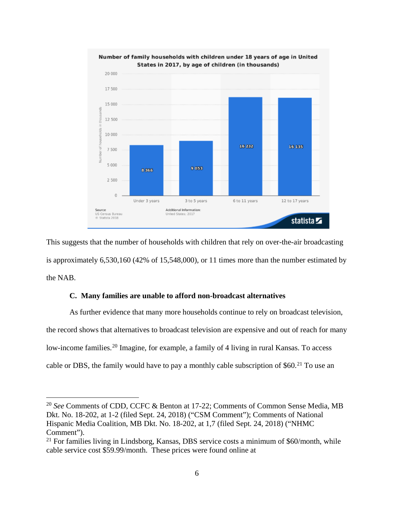

This suggests that the number of households with children that rely on over-the-air broadcasting is approximately 6,530,160 (42% of 15,548,000), or 11 times more than the number estimated by the NAB.

### **C. Many families are unable to afford non-broadcast alternatives**

<span id="page-9-0"></span>As further evidence that many more households continue to rely on broadcast television, the record shows that alternatives to broadcast television are expensive and out of reach for many low-income families.<sup>[20](#page-9-1)</sup> Imagine, for example, a family of 4 living in rural Kansas. To access cable or DBS, the family would have to pay a monthly cable subscription of \$60.<sup>[21](#page-9-2)</sup> To use an

<span id="page-9-1"></span> <sup>20</sup> *See* Comments of CDD, CCFC & Benton at 17-22; Comments of Common Sense Media, MB Dkt. No. 18-202, at 1-2 (filed Sept. 24, 2018) ("CSM Comment"); Comments of National Hispanic Media Coalition, MB Dkt. No. 18-202, at 1,7 (filed Sept. 24, 2018) ("NHMC Comment").

<span id="page-9-2"></span> $21$  For families living in Lindsborg, Kansas, DBS service costs a minimum of \$60/month, while cable service cost \$59.99/month. These prices were found online at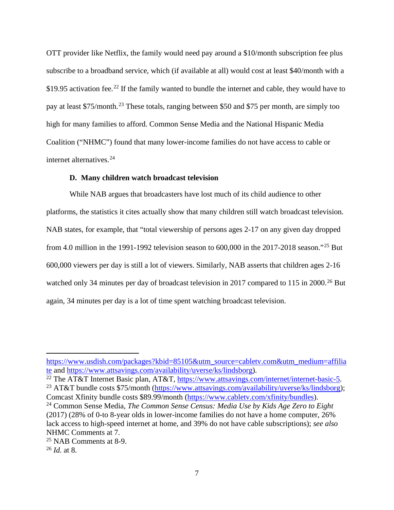OTT provider like Netflix, the family would need pay around a \$10/month subscription fee plus subscribe to a broadband service, which (if available at all) would cost at least \$40/month with a \$19.95 activation fee.<sup>[22](#page-10-1)</sup> If the family wanted to bundle the internet and cable, they would have to pay at least \$75/month.[23](#page-10-2) These totals, ranging between \$50 and \$75 per month, are simply too high for many families to afford. Common Sense Media and the National Hispanic Media Coalition ("NHMC") found that many lower-income families do not have access to cable or internet alternatives. [24](#page-10-3)

### **D. Many children watch broadcast television**

<span id="page-10-0"></span>While NAB argues that broadcasters have lost much of its child audience to other platforms, the statistics it cites actually show that many children still watch broadcast television. NAB states, for example, that "total viewership of persons ages 2-17 on any given day dropped from 4.0 million in the 1991-1992 television season to 600,000 in the 2017-2018 season."[25](#page-10-4) But 600,000 viewers per day is still a lot of viewers. Similarly, NAB asserts that children ages 2-16 watched only 34 minutes per day of broadcast television in 2017 compared to 115 in 2000.<sup>[26](#page-10-5)</sup> But again, 34 minutes per day is a lot of time spent watching broadcast television.

 $\overline{a}$ 

[https://www.usdish.com/packages?kbid=85105&utm\\_source=cabletv.com&utm\\_medium=affilia](https://www.usdish.com/packages?kbid=85105&utm_source=cabletv.com&utm_medium=affiliate) [te](https://www.usdish.com/packages?kbid=85105&utm_source=cabletv.com&utm_medium=affiliate) and [https://www.attsavings.com/availability/uverse/ks/lindsborg\)](https://www.attsavings.com/availability/uverse/ks/lindsborg).<br><sup>22</sup> The AT&T Internet Basic plan, AT&T, https://www.attsavings.com/internet/internet-basic-5.

<span id="page-10-1"></span>

<span id="page-10-2"></span><sup>&</sup>lt;sup>23</sup> AT&T bundle costs \$75/month [\(https://www.attsavings.com/availability/uverse/ks/lindsborg\)](https://www.attsavings.com/availability/uverse/ks/lindsborg); Comcast Xfinity bundle costs \$89.99/month [\(https://www.cabletv.com/xfinity/bundles\)](https://www.cabletv.com/xfinity/bundles).

<span id="page-10-3"></span><sup>24</sup> Common Sense Media, *The Common Sense Census: Media Use by Kids Age Zero to Eight* (2017) (28% of 0-to 8-year olds in lower-income families do not have a home computer, 26% lack access to high-speed internet at home, and 39% do not have cable subscriptions); *see also* NHMC Comments at 7.

<span id="page-10-4"></span><sup>25</sup> NAB Comments at 8-9.

<span id="page-10-5"></span><sup>26</sup> *Id.* at 8.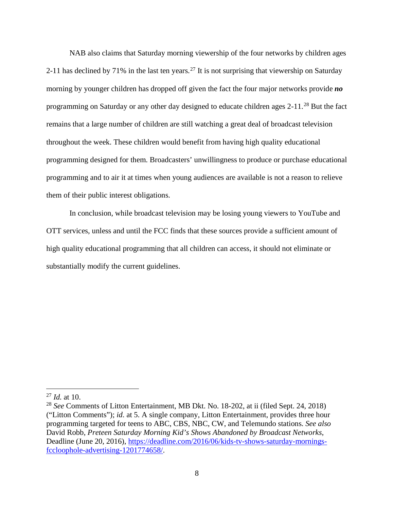NAB also claims that Saturday morning viewership of the four networks by children ages 2-11 has declined by 71% in the last ten years.<sup>[27](#page-11-0)</sup> It is not surprising that viewership on Saturday morning by younger children has dropped off given the fact the four major networks provide *no*  programming on Saturday or any other day designed to educate children ages 2-11.[28](#page-11-1) But the fact remains that a large number of children are still watching a great deal of broadcast television throughout the week. These children would benefit from having high quality educational programming designed for them. Broadcasters' unwillingness to produce or purchase educational programming and to air it at times when young audiences are available is not a reason to relieve them of their public interest obligations.

In conclusion, while broadcast television may be losing young viewers to YouTube and OTT services, unless and until the FCC finds that these sources provide a sufficient amount of high quality educational programming that all children can access, it should not eliminate or substantially modify the current guidelines.

<span id="page-11-0"></span> <sup>27</sup> *Id.* at 10.

<span id="page-11-1"></span><sup>28</sup> *See* Comments of Litton Entertainment, MB Dkt. No. 18-202, at ii (filed Sept. 24, 2018) ("Litton Comments"); *id*. at 5. A single company, Litton Entertainment, provides three hour programming targeted for teens to ABC, CBS, NBC, CW, and Telemundo stations. *See also* David Robb, *Preteen Saturday Morning Kid's Shows Abandoned by Broadcast Networks*, Deadline (June 20, 2016), [https://deadline.com/2016/06/kids-tv-shows-saturday-mornings](https://deadline.com/2016/06/kids-tv-shows-saturday-mornings-fccloophole-advertising-1201774658/)[fccloophole-advertising-1201774658/.](https://deadline.com/2016/06/kids-tv-shows-saturday-mornings-fccloophole-advertising-1201774658/)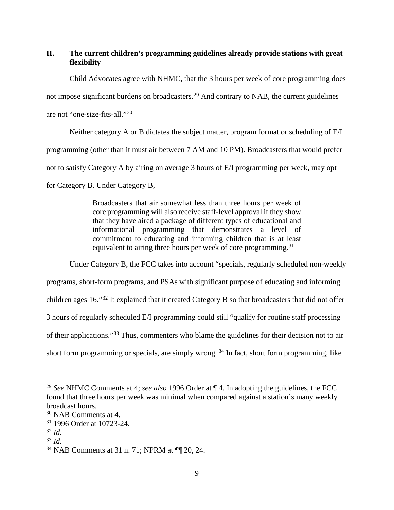## <span id="page-12-0"></span>**II. The current children's programming guidelines already provide stations with great flexibility**

Child Advocates agree with NHMC, that the 3 hours per week of core programming does not impose significant burdens on broadcasters.<sup>[29](#page-12-1)</sup> And contrary to NAB, the current guidelines are not "one-size-fits-all."[30](#page-12-2)

Neither category A or B dictates the subject matter, program format or scheduling of E/I programming (other than it must air between 7 AM and 10 PM). Broadcasters that would prefer not to satisfy Category A by airing on average 3 hours of E/I programming per week, may opt for Category B. Under Category B,

> Broadcasters that air somewhat less than three hours per week of core programming will also receive staff-level approval if they show that they have aired a package of different types of educational and informational programming that demonstrates a level of commitment to educating and informing children that is at least equivalent to airing three hours per week of core programming.<sup>[31](#page-12-3)</sup>

Under Category B, the FCC takes into account "specials, regularly scheduled non-weekly programs, short-form programs, and PSAs with significant purpose of educating and informing children ages 16."[32](#page-12-4) It explained that it created Category B so that broadcasters that did not offer 3 hours of regularly scheduled E/I programming could still "qualify for routine staff processing of their applications."[33](#page-12-5) Thus, commenters who blame the guidelines for their decision not to air short form programming or specials, are simply wrong.  $34$  In fact, short form programming, like

<span id="page-12-1"></span> <sup>29</sup> *See* NHMC Comments at 4; *see also* 1996 Order at ¶ 4. In adopting the guidelines, the FCC found that three hours per week was minimal when compared against a station's many weekly broadcast hours.

<span id="page-12-2"></span><sup>30</sup> NAB Comments at 4.

<span id="page-12-3"></span><sup>31</sup> 1996 Order at 10723-24.

<span id="page-12-4"></span><sup>32</sup> *Id.*

<span id="page-12-5"></span><sup>33</sup> *Id*.

<span id="page-12-6"></span><sup>34</sup> NAB Comments at 31 n. 71; NPRM at ¶¶ 20, 24.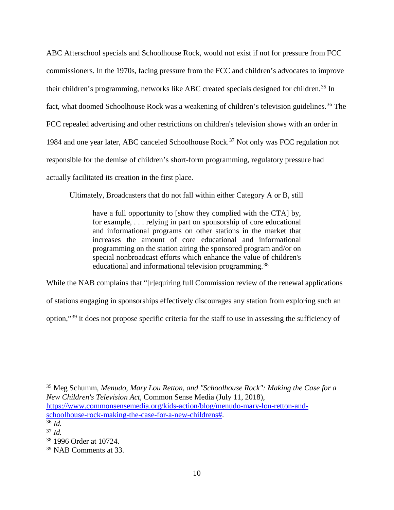ABC Afterschool specials and Schoolhouse Rock, would not exist if not for pressure from FCC commissioners. In the 1970s, facing pressure from the FCC and children's advocates to improve their children's programming, networks like ABC created specials designed for children.<sup>[35](#page-13-0)</sup> In fact, what doomed Schoolhouse Rock was a weakening of children's television guidelines.<sup>[36](#page-13-1)</sup> The FCC repealed advertising and other restrictions on children's television shows with an order in 1984 and one year later, ABC canceled Schoolhouse Rock.<sup>[37](#page-13-2)</sup> Not only was FCC regulation not responsible for the demise of children's short-form programming, regulatory pressure had actually facilitated its creation in the first place.

Ultimately, Broadcasters that do not fall within either Category A or B, still

have a full opportunity to [show they complied with the CTA] by, for example, . . . relying in part on sponsorship of core educational and informational programs on other stations in the market that increases the amount of core educational and informational programming on the station airing the sponsored program and/or on special nonbroadcast efforts which enhance the value of children's educational and informational television programming.<sup>[38](#page-13-3)</sup>

While the NAB complains that "[r]equiring full Commission review of the renewal applications of stations engaging in sponsorships effectively discourages any station from exploring such an option,"[39](#page-13-4) it does not propose specific criteria for the staff to use in assessing the sufficiency of

<span id="page-13-0"></span> 35 Meg Schumm, *Menudo, Mary Lou Retton, and "Schoolhouse Rock": Making the Case for a New Children's Television Act*, Common Sense Media (July 11, 2018), [https://www.commonsensemedia.org/kids-action/blog/menudo-mary-lou-retton-and](https://www.commonsensemedia.org/kids-action/blog/menudo-mary-lou-retton-and-schoolhouse-rock-making-the-case-for-a-new-childrens)[schoolhouse-rock-making-the-case-for-a-new-childrens#.](https://www.commonsensemedia.org/kids-action/blog/menudo-mary-lou-retton-and-schoolhouse-rock-making-the-case-for-a-new-childrens) 36 *Id.*

<span id="page-13-2"></span><span id="page-13-1"></span><sup>37</sup> *Id.*

<span id="page-13-3"></span><sup>38</sup> 1996 Order at 10724.

<span id="page-13-4"></span><sup>39</sup> NAB Comments at 33.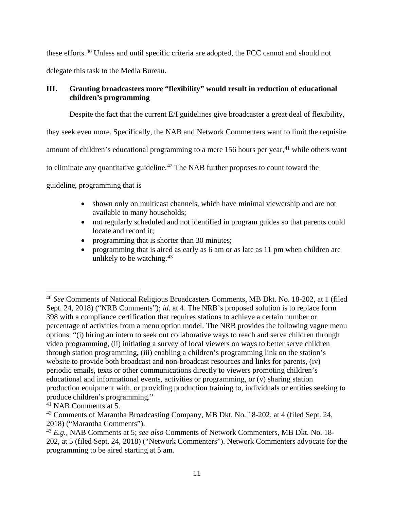these efforts.[40](#page-14-1) Unless and until specific criteria are adopted, the FCC cannot and should not

delegate this task to the Media Bureau.

# <span id="page-14-0"></span>**III. Granting broadcasters more "flexibility" would result in reduction of educational children's programming**

Despite the fact that the current E/I guidelines give broadcaster a great deal of flexibility,

they seek even more. Specifically, the NAB and Network Commenters want to limit the requisite

amount of children's educational programming to a mere 156 hours per year,<sup>[41](#page-14-2)</sup> while others want

to eliminate any quantitative guideline.<sup>[42](#page-14-3)</sup> The NAB further proposes to count toward the

guideline, programming that is

- shown only on multicast channels, which have minimal viewership and are not available to many households;
- not regularly scheduled and not identified in program guides so that parents could locate and record it;
- programming that is shorter than 30 minutes;
- programming that is aired as early as 6 am or as late as 11 pm when children are unlikely to be watching.  $43$

<span id="page-14-1"></span> <sup>40</sup> *See* Comments of National Religious Broadcasters Comments, MB Dkt. No. 18-202, at 1 (filed Sept. 24, 2018) ("NRB Comments"); *id*. at 4. The NRB's proposed solution is to replace form 398 with a compliance certification that requires stations to achieve a certain number or percentage of activities from a menu option model. The NRB provides the following vague menu options: "(i) hiring an intern to seek out collaborative ways to reach and serve children through video programming, (ii) initiating a survey of local viewers on ways to better serve children through station programming, (iii) enabling a children's programming link on the station's website to provide both broadcast and non-broadcast resources and links for parents, (iv) periodic emails, texts or other communications directly to viewers promoting children's educational and informational events, activities or programming, or (v) sharing station production equipment with, or providing production training to, individuals or entities seeking to produce children's programming."

<span id="page-14-2"></span><sup>41</sup> NAB Comments at 5.

<span id="page-14-3"></span><sup>&</sup>lt;sup>42</sup> Comments of Marantha Broadcasting Company, MB Dkt. No. 18-202, at 4 (filed Sept. 24, 2018) ("Marantha Comments").

<span id="page-14-4"></span><sup>43</sup> *E.g.,* NAB Comments at 5; *see also* Comments of Network Commenters, MB Dkt. No. 18- 202, at 5 (filed Sept. 24, 2018) ("Network Commenters"). Network Commenters advocate for the programming to be aired starting at 5 am.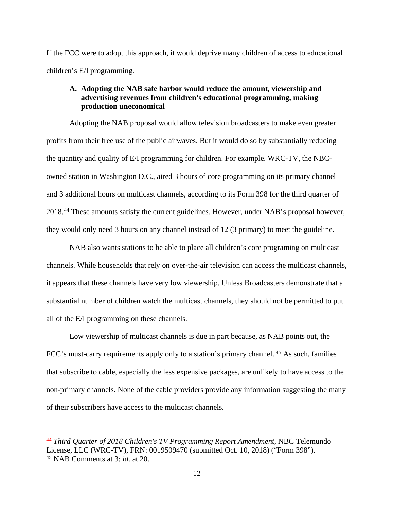If the FCC were to adopt this approach, it would deprive many children of access to educational children's E/I programming.

## <span id="page-15-0"></span>**A. Adopting the NAB safe harbor would reduce the amount, viewership and advertising revenues from children's educational programming, making production uneconomical**

Adopting the NAB proposal would allow television broadcasters to make even greater profits from their free use of the public airwaves. But it would do so by substantially reducing the quantity and quality of E/I programming for children. For example, WRC-TV, the NBCowned station in Washington D.C., aired 3 hours of core programming on its primary channel and 3 additional hours on multicast channels, according to its Form 398 for the third quarter of 2018. [44](#page-15-1) These amounts satisfy the current guidelines. However, under NAB's proposal however, they would only need 3 hours on any channel instead of 12 (3 primary) to meet the guideline.

NAB also wants stations to be able to place all children's core programing on multicast channels. While households that rely on over-the-air television can access the multicast channels, it appears that these channels have very low viewership. Unless Broadcasters demonstrate that a substantial number of children watch the multicast channels, they should not be permitted to put all of the E/I programming on these channels.

Low viewership of multicast channels is due in part because, as NAB points out, the FCC's must-carry requirements apply only to a station's primary channel. <sup>[45](#page-15-2)</sup> As such, families that subscribe to cable, especially the less expensive packages, are unlikely to have access to the non-primary channels. None of the cable providers provide any information suggesting the many of their subscribers have access to the multicast channels.

<span id="page-15-2"></span><span id="page-15-1"></span> <sup>44</sup> *Third Quarter of 2018 Children's TV Programming Report Amendment*, NBC Telemundo License, LLC (WRC-TV), FRN: 0019509470 (submitted Oct. 10, 2018) ("Form 398"). <sup>45</sup> NAB Comments at 3; *id*. at 20.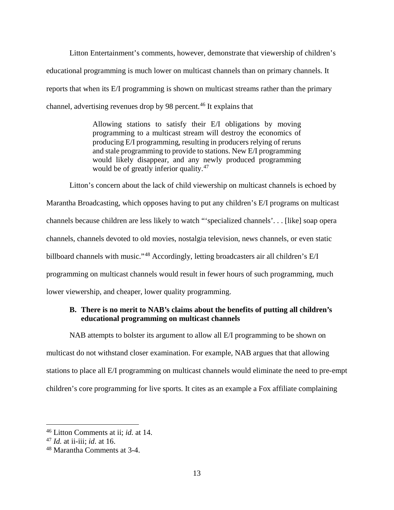Litton Entertainment's comments, however, demonstrate that viewership of children's educational programming is much lower on multicast channels than on primary channels. It reports that when its E/I programming is shown on multicast streams rather than the primary channel, advertising revenues drop by 98 percent.<sup>[46](#page-16-1)</sup> It explains that

> Allowing stations to satisfy their E/I obligations by moving programming to a multicast stream will destroy the economics of producing E/I programming, resulting in producers relying of reruns and stale programming to provide to stations. New E/I programming would likely disappear, and any newly produced programming would be of greatly inferior quality. [47](#page-16-2)

Litton's concern about the lack of child viewership on multicast channels is echoed by Marantha Broadcasting, which opposes having to put any children's E/I programs on multicast channels because children are less likely to watch "'specialized channels'. . . [like] soap opera channels, channels devoted to old movies, nostalgia television, news channels, or even static billboard channels with music."[48](#page-16-3) Accordingly, letting broadcasters air all children's E/I programming on multicast channels would result in fewer hours of such programming, much lower viewership, and cheaper, lower quality programming.

## <span id="page-16-0"></span>**B. There is no merit to NAB's claims about the benefits of putting all children's educational programming on multicast channels**

NAB attempts to bolster its argument to allow all E/I programming to be shown on multicast do not withstand closer examination. For example, NAB argues that that allowing stations to place all E/I programming on multicast channels would eliminate the need to pre-empt children's core programming for live sports. It cites as an example a Fox affiliate complaining

<span id="page-16-1"></span> <sup>46</sup> Litton Comments at ii; *id.* at 14.

<span id="page-16-2"></span><sup>47</sup> *Id.* at ii-iii; *id*. at 16.

<span id="page-16-3"></span><sup>48</sup> Marantha Comments at 3-4.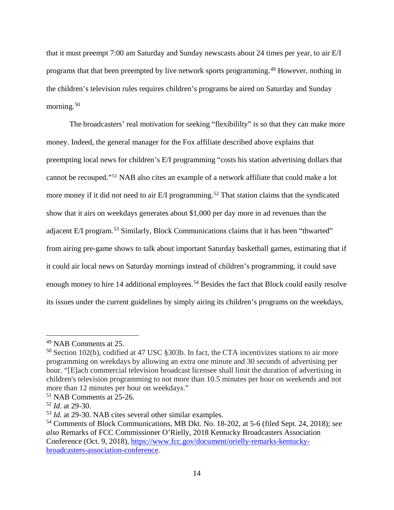that it must preempt 7:00 am Saturday and Sunday newscasts about 24 times per year, to air E/I programs that that been preempted by live network sports programming.[49](#page-17-0) However, nothing in the children's television rules requires children's programs be aired on Saturday and Sunday morning.<sup>[50](#page-17-1)</sup>

The broadcasters' real motivation for seeking "flexibililty" is so that they can make more money. Indeed, the general manager for the Fox affiliate described above explains that preempting local news for children's E/I programming "costs his station advertising dollars that cannot be recouped."[51](#page-17-2) NAB also cites an example of a network affiliate that could make a lot more money if it did not need to air E/I programming.<sup>[52](#page-17-3)</sup> That station claims that the syndicated show that it airs on weekdays generates about \$1,000 per day more in ad revenues than the adjacent E/I program.[53](#page-17-4) Similarly, Block Communications claims that it has been "thwarted" from airing pre-game shows to talk about important Saturday basketball games, estimating that if it could air local news on Saturday mornings instead of children's programming, it could save enough money to hire 14 additional employees.<sup>[54](#page-17-5)</sup> Besides the fact that Block could easily resolve its issues under the current guidelines by simply airing its children's programs on the weekdays,

<span id="page-17-0"></span> <sup>49</sup> NAB Comments at 25.

<span id="page-17-1"></span><sup>50</sup> Section 102(b), codified at 47 USC §303b. In fact, the CTA incentivizes stations to air more programming on weekdays by allowing an extra one minute and 30 seconds of advertising per hour. "[E]ach commercial television broadcast licensee shall limit the duration of advertising in children's television programming to not more than 10.5 minutes per hour on weekends and not more than 12 minutes per hour on weekdays."

<span id="page-17-2"></span><sup>51</sup> NAB Comments at 25-26.

<span id="page-17-3"></span><sup>52</sup> *Id*. at 29-30.

<span id="page-17-4"></span><sup>53</sup> *Id.* at 29-30. NAB cites several other similar examples.

<span id="page-17-5"></span><sup>54</sup> Comments of Block Communications, MB Dkt. No. 18-202, at 5-6 (filed Sept. 24, 2018); *see also* Remarks of FCC Commissioner O'Rielly, 2018 Kentucky Broadcasters Association Conference (Oct. 9, 2018), [https://www.fcc.gov/document/orielly-remarks-kentucky](https://www.fcc.gov/document/orielly-remarks-kentucky-broadcasters-association-conference)[broadcasters-association-conference.](https://www.fcc.gov/document/orielly-remarks-kentucky-broadcasters-association-conference)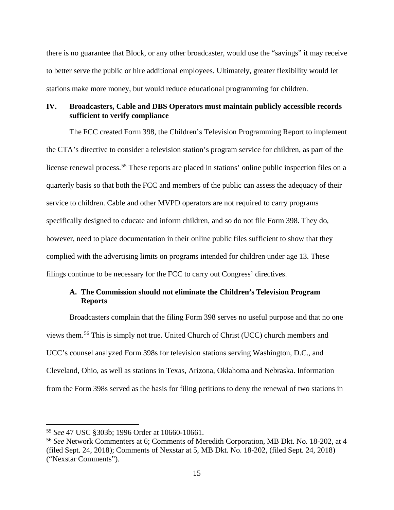there is no guarantee that Block, or any other broadcaster, would use the "savings" it may receive to better serve the public or hire additional employees. Ultimately, greater flexibility would let stations make more money, but would reduce educational programming for children.

## <span id="page-18-0"></span>**IV. Broadcasters, Cable and DBS Operators must maintain publicly accessible records sufficient to verify compliance**

The FCC created Form 398, the Children's Television Programming Report to implement the CTA's directive to consider a television station's program service for children, as part of the license renewal process.<sup>[55](#page-18-2)</sup> These reports are placed in stations' online public inspection files on a quarterly basis so that both the FCC and members of the public can assess the adequacy of their service to children. Cable and other MVPD operators are not required to carry programs specifically designed to educate and inform children, and so do not file Form 398. They do, however, need to place documentation in their online public files sufficient to show that they complied with the advertising limits on programs intended for children under age 13. These filings continue to be necessary for the FCC to carry out Congress' directives.

## <span id="page-18-1"></span>**A. The Commission should not eliminate the Children's Television Program Reports**

Broadcasters complain that the filing Form 398 serves no useful purpose and that no one views them. [56](#page-18-3) This is simply not true. United Church of Christ (UCC) church members and UCC's counsel analyzed Form 398s for television stations serving Washington, D.C., and Cleveland, Ohio, as well as stations in Texas, Arizona, Oklahoma and Nebraska. Information from the Form 398s served as the basis for filing petitions to deny the renewal of two stations in

<span id="page-18-2"></span> <sup>55</sup> *See* 47 USC §303b; 1996 Order at 10660-10661.

<span id="page-18-3"></span><sup>56</sup> *See* Network Commenters at 6; Comments of Meredith Corporation, MB Dkt. No. 18-202, at 4 (filed Sept. 24, 2018); Comments of Nexstar at 5, MB Dkt. No. 18-202, (filed Sept. 24, 2018) ("Nexstar Comments").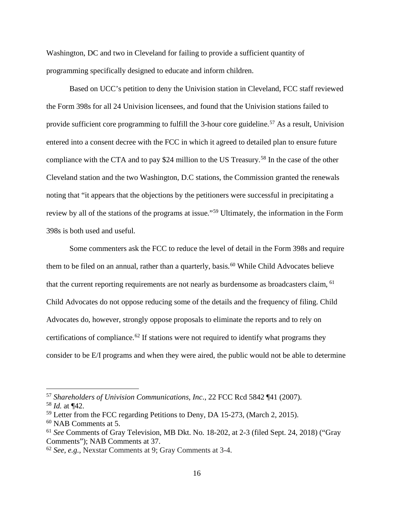Washington, DC and two in Cleveland for failing to provide a sufficient quantity of programming specifically designed to educate and inform children.

Based on UCC's petition to deny the Univision station in Cleveland, FCC staff reviewed the Form 398s for all 24 Univision licensees, and found that the Univision stations failed to provide sufficient core programming to fulfill the 3-hour core guideline.<sup>[57](#page-19-0)</sup> As a result, Univision entered into a consent decree with the FCC in which it agreed to detailed plan to ensure future compliance with the CTA and to pay \$24 million to the US Treasury.<sup>[58](#page-19-1)</sup> In the case of the other Cleveland station and the two Washington, D.C stations, the Commission granted the renewals noting that "it appears that the objections by the petitioners were successful in precipitating a review by all of the stations of the programs at issue."[59](#page-19-2) Ultimately, the information in the Form 398s is both used and useful.

Some commenters ask the FCC to reduce the level of detail in the Form 398s and require them to be filed on an annual, rather than a quarterly, basis.<sup>[60](#page-19-3)</sup> While Child Advocates believe that the current reporting requirements are not nearly as burdensome as broadcasters claim, [61](#page-19-4) Child Advocates do not oppose reducing some of the details and the frequency of filing. Child Advocates do, however, strongly oppose proposals to eliminate the reports and to rely on certifications of compliance.<sup>[62](#page-19-5)</sup> If stations were not required to identify what programs they consider to be E/I programs and when they were aired, the public would not be able to determine

<span id="page-19-0"></span> <sup>57</sup> *Shareholders of Univision Communications, Inc*., 22 FCC Rcd 5842 ¶41 (2007).

<span id="page-19-1"></span><sup>58</sup> *Id.* at ¶42.

<span id="page-19-2"></span><sup>59</sup> Letter from the FCC regarding Petitions to Deny, DA 15-273, (March 2, 2015).

<span id="page-19-3"></span><sup>60</sup> NAB Comments at 5.

<span id="page-19-4"></span><sup>61</sup> *See* Comments of Gray Television, MB Dkt. No. 18-202, at 2-3 (filed Sept. 24, 2018) ("Gray Comments"); NAB Comments at 37.

<span id="page-19-5"></span><sup>62</sup> *See, e.g.,* Nexstar Comments at 9; Gray Comments at 3-4.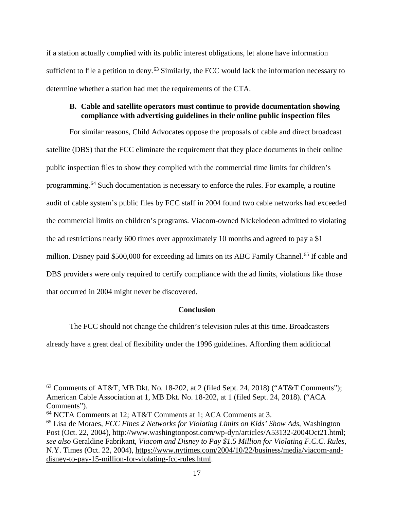if a station actually complied with its public interest obligations, let alone have information sufficient to file a petition to deny.<sup>[63](#page-20-2)</sup> Similarly, the FCC would lack the information necessary to determine whether a station had met the requirements of the CTA.

### <span id="page-20-0"></span>**B. Cable and satellite operators must continue to provide documentation showing compliance with advertising guidelines in their online public inspection files**

For similar reasons, Child Advocates oppose the proposals of cable and direct broadcast satellite (DBS) that the FCC eliminate the requirement that they place documents in their online public inspection files to show they complied with the commercial time limits for children's programming. [64](#page-20-3) Such documentation is necessary to enforce the rules. For example, a routine audit of cable system's public files by FCC staff in 2004 found two cable networks had exceeded the commercial limits on children's programs. Viacom-owned Nickelodeon admitted to violating the ad restrictions nearly 600 times over approximately 10 months and agreed to pay a \$1 million. Disney paid \$500,000 for exceeding ad limits on its ABC Family Channel.<sup>[65](#page-20-4)</sup> If cable and DBS providers were only required to certify compliance with the ad limits, violations like those that occurred in 2004 might never be discovered.

### **Conclusion**

<span id="page-20-1"></span>The FCC should not change the children's television rules at this time. Broadcasters already have a great deal of flexibility under the 1996 guidelines. Affording them additional

<span id="page-20-2"></span> <sup>63</sup> Comments of AT&T, MB Dkt. No. 18-202, at 2 (filed Sept. 24, 2018) ("AT&T Comments"); American Cable Association at 1, MB Dkt. No. 18-202, at 1 (filed Sept. 24, 2018). ("ACA Comments").

<span id="page-20-3"></span><sup>64</sup> NCTA Comments at 12; AT&T Comments at 1; ACA Comments at 3.

<span id="page-20-4"></span><sup>65</sup> Lisa de Moraes, *FCC Fines 2 Networks for Violating Limits on Kids' Show Ads*, Washington Post (Oct. 22, 2004), [http://www.washingtonpost.com/wp-dyn/articles/A53132-2004Oct21.html;](http://www.washingtonpost.com/wp-dyn/articles/A53132-2004Oct21.html) *see also* Geraldine Fabrikant, *Viacom and Disney to Pay \$1.5 Million for Violating F.C.C. Rules*, N.Y. Times (Oct. 22, 2004), [https://www.nytimes.com/2004/10/22/business/media/viacom-and](https://www.nytimes.com/2004/10/22/business/media/viacom-and-disney-to-pay-15-million-for-violating-fcc-rules.html)[disney-to-pay-15-million-for-violating-fcc-rules.html.](https://www.nytimes.com/2004/10/22/business/media/viacom-and-disney-to-pay-15-million-for-violating-fcc-rules.html)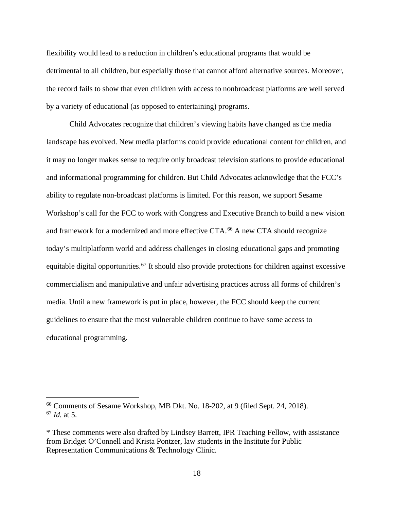flexibility would lead to a reduction in children's educational programs that would be detrimental to all children, but especially those that cannot afford alternative sources. Moreover, the record fails to show that even children with access to nonbroadcast platforms are well served by a variety of educational (as opposed to entertaining) programs.

Child Advocates recognize that children's viewing habits have changed as the media landscape has evolved. New media platforms could provide educational content for children, and it may no longer makes sense to require only broadcast television stations to provide educational and informational programming for children. But Child Advocates acknowledge that the FCC's ability to regulate non-broadcast platforms is limited. For this reason, we support Sesame Workshop's call for the FCC to work with Congress and Executive Branch to build a new vision and framework for a modernized and more effective CTA.[66](#page-21-0) A new CTA should recognize today's multiplatform world and address challenges in closing educational gaps and promoting equitable digital opportunities.<sup>[67](#page-21-1)</sup> It should also provide protections for children against excessive commercialism and manipulative and unfair advertising practices across all forms of children's media. Until a new framework is put in place, however, the FCC should keep the current guidelines to ensure that the most vulnerable children continue to have some access to educational programming.

<span id="page-21-1"></span><span id="page-21-0"></span> <sup>66</sup> Comments of Sesame Workshop, MB Dkt. No. 18-202, at 9 (filed Sept. 24, 2018). <sup>67</sup> *Id.* at 5.

<sup>\*</sup> These comments were also drafted by Lindsey Barrett, IPR Teaching Fellow, with assistance from Bridget O'Connell and Krista Pontzer, law students in the Institute for Public Representation Communications & Technology Clinic.